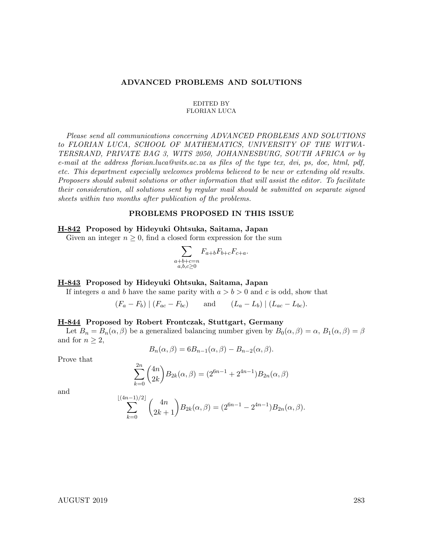#### ADVANCED PROBLEMS AND SOLUTIONS

#### EDITED BY FLORIAN LUCA

Please send all communications concerning ADVANCED PROBLEMS AND SOLUTIONS to FLORIAN LUCA, SCHOOL OF MATHEMATICS, UNIVERSITY OF THE WITWA-TERSRAND, PRIVATE BAG 3, WITS 2050, JOHANNESBURG, SOUTH AFRICA or by e-mail at the address florian.luca@wits.ac.za as files of the type tex, dvi, ps, doc, html, pdf, etc. This department especially welcomes problems believed to be new or extending old results. Proposers should submit solutions or other information that will assist the editor. To facilitate their consideration, all solutions sent by regular mail should be submitted on separate signed sheets within two months after publication of the problems.

#### PROBLEMS PROPOSED IN THIS ISSUE

## H-842 Proposed by Hideyuki Ohtsuka, Saitama, Japan

Given an integer  $n \geq 0$ , find a closed form expression for the sum

$$
\sum_{\substack{a+b+c=n\\a,b,c\geq 0}}F_{a+b}F_{b+c}F_{c+a}.
$$

#### H-843 Proposed by Hideyuki Ohtsuka, Saitama, Japan

If integers a and b have the same parity with  $a > b > 0$  and c is odd, show that

$$
(F_a - F_b) | (F_{ac} - F_{bc})
$$
 and  $(L_a - L_b) | (L_{ac} - L_{bc})$ .

#### H-844 Proposed by Robert Frontczak, Stuttgart, Germany

Let  $B_n = B_n(\alpha, \beta)$  be a generalized balancing number given by  $B_0(\alpha, \beta) = \alpha$ ,  $B_1(\alpha, \beta) = \beta$ and for  $n > 2$ ,

$$
B_n(\alpha, \beta) = 6B_{n-1}(\alpha, \beta) - B_{n-2}(\alpha, \beta).
$$

Prove that

$$
\sum_{k=0}^{2n} {4n \choose 2k} B_{2k}(\alpha, \beta) = (2^{6n-1} + 2^{4n-1}) B_{2n}(\alpha, \beta)
$$

and

$$
\sum_{k=0}^{\lfloor (4n-1)/2 \rfloor} {4n \choose 2k+1} B_{2k}(\alpha, \beta) = (2^{6n-1} - 2^{4n-1}) B_{2n}(\alpha, \beta).
$$

#### AUGUST 2019 283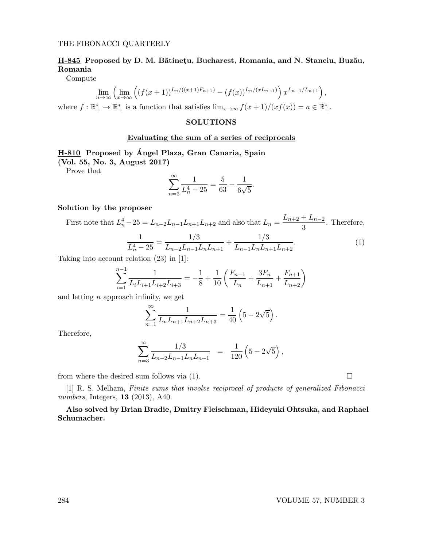#### THE FIBONACCI QUARTERLY

# H-845 Proposed by D. M. Bătinețu, Bucharest, Romania, and N. Stanciu, Buzău, Romania

Compute

$$
\lim_{n \to \infty} \left( \lim_{x \to \infty} \left( (f(x+1))^{L_n/((x+1)F_{n+1})} - (f(x))^{L_n/(xL_{n+1})} \right) x^{L_{n-1}/L_{n+1}} \right),
$$

where  $f: \mathbb{R}_+^* \to \mathbb{R}_+^*$  is a function that satisfies  $\lim_{x \to \infty} f(x+1)/(xf(x)) = a \in \mathbb{R}_+^*$ .

## **SOLUTIONS**

## Evaluating the sum of a series of reciprocals

# H-810 Proposed by Angel Plaza, Gran Canaria, Spain ´

(Vol. 55, No. 3, August 2017)

Prove that

$$
\sum_{n=3}^{\infty} \frac{1}{L_n^4 - 25} = \frac{5}{63} - \frac{1}{6\sqrt{5}}
$$

#### Solution by the proposer

First note that  $L_n^4 - 25 = L_{n-2}L_{n-1}L_{n+1}L_{n+2}$  and also that  $L_n = \frac{L_{n+2} + L_{n-2}}{3}$  $\frac{1}{3}$ . Therefore,

$$
\frac{1}{L_n^4 - 25} = \frac{1/3}{L_{n-2}L_{n-1}L_nL_{n+1}} + \frac{1/3}{L_{n-1}L_nL_{n+1}L_{n+2}}.\tag{1}
$$

.

Taking into account relation (23) in [1]:

$$
\sum_{i=1}^{n-1} \frac{1}{L_i L_{i+1} L_{i+2} L_{i+3}} = -\frac{1}{8} + \frac{1}{10} \left( \frac{F_{n-1}}{L_n} + \frac{3F_n}{L_{n+1}} + \frac{F_{n+1}}{L_{n+2}} \right)
$$

and letting  $n$  approach infinity, we get

$$
\sum_{n=1}^{\infty} \frac{1}{L_n L_{n+1} L_{n+2} L_{n+3}} = \frac{1}{40} \left( 5 - 2\sqrt{5} \right).
$$

Therefore,

$$
\sum_{n=3}^{\infty} \frac{1/3}{L_{n-2}L_{n-1}L_nL_{n+1}} = \frac{1}{120} \left(5 - 2\sqrt{5}\right),
$$

from where the desired sum follows via  $(1)$ .

[1] R. S. Melham, Finite sums that involve reciprocal of products of generalized Fibonacci numbers, Integers, 13 (2013), A40.

Also solved by Brian Bradie, Dmitry Fleischman, Hideyuki Ohtsuka, and Raphael Schumacher.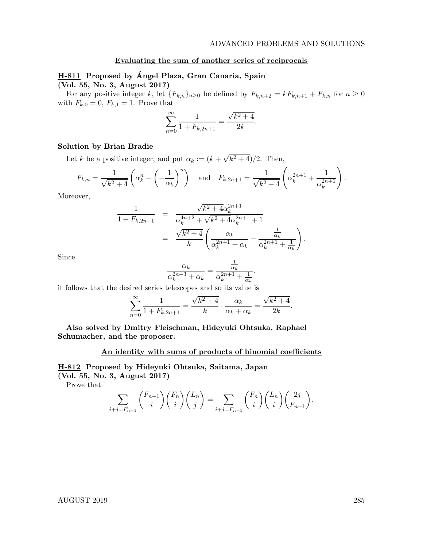.

## Evaluating the sum of another series of reciprocals

# H-811 Proposed by Ángel Plaza, Gran Canaria, Spain

(Vol. 55, No. 3, August 2017)

For any positive integer k, let  ${F_{k,n}}_{n\geq 0}$  be defined by  $F_{k,n+2} = kF_{k,n+1} + F_{k,n}$  for  $n \geq 0$ with  $F_{k,0} = 0, F_{k,1} = 1$ . Prove that

$$
\sum_{n=0}^{\infty} \frac{1}{1 + F_{k, 2n+1}} = \frac{\sqrt{k^2 + 4}}{2k}.
$$

## Solution by Brian Bradie

Let k be a positive integer, and put  $\alpha_k := (k + \sqrt{k^2 + 4})/2$ . Then,

$$
F_{k,n} = \frac{1}{\sqrt{k^2 + 4}} \left( \alpha_k^n - \left( -\frac{1}{\alpha_k} \right)^n \right) \quad \text{and} \quad F_{k,2n+1} = \frac{1}{\sqrt{k^2 + 4}} \left( \alpha_k^{2n+1} + \frac{1}{\alpha_k^{2n+1}} \right).
$$

Moreover,

$$
\frac{1}{1 + F_{k,2n+1}} = \frac{\sqrt{k^2 + 4\alpha_k^{2n+1}}}{\alpha_k^{4n+2} + \sqrt{k^2 + 4\alpha_k^{2n+1} + 1}}
$$
\n
$$
= \frac{\sqrt{k^2 + 4}}{k} \left( \frac{\alpha_k}{\alpha_k^{2n+1} + \alpha_k} - \frac{\frac{1}{\alpha_k}}{\alpha_k^{2n+1} + \frac{1}{\alpha_k}} \right)
$$

Since

$$
\frac{\alpha_k}{\alpha_k^{2n+3}+\alpha_k}=\frac{\frac{1}{\alpha_k}}{\alpha_k^{2n+1}+\frac{1}{\alpha_k}},
$$

it follows that the desired series telescopes and so its value is

$$
\sum_{n=0}^{\infty} \frac{1}{1 + F_{k, 2n+1}} = \frac{\sqrt{k^2 + 4}}{k} \cdot \frac{\alpha_k}{\alpha_k + \alpha_k} = \frac{\sqrt{k^2 + 4}}{2k}.
$$

Also solved by Dmitry Fleischman, Hideyuki Ohtsuka, Raphael Schumacher, and the proposer.

## An identity with sums of products of binomial coefficients

## H-812 Proposed by Hideyuki Ohtsuka, Saitama, Japan

(Vol. 55, No. 3, August 2017)

Prove that

$$
\sum_{i+j=F_{n+1}} \binom{F_{n+1}}{i} \binom{F_n}{i} \binom{L_n}{j} = \sum_{i+j=F_{n+1}} \binom{F_n}{i} \binom{L_n}{i} \binom{2j}{F_{n+1}}.
$$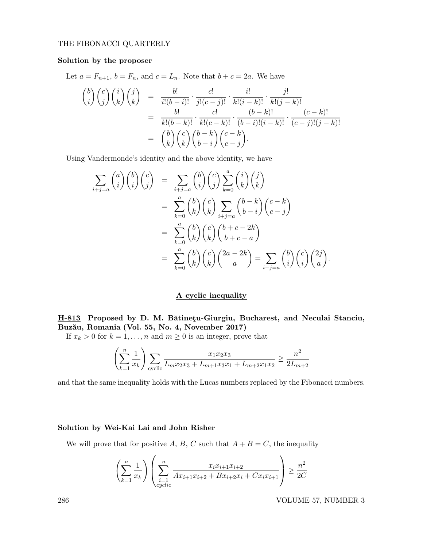## THE FIBONACCI QUARTERLY

## Solution by the proposer

Let  $a = F_{n+1}$ ,  $b = F_n$ , and  $c = L_n$ . Note that  $b + c = 2a$ . We have

$$
\begin{aligned}\n\binom{b}{i}\binom{c}{j}\binom{i}{k}\binom{j}{k} &= \frac{b!}{i!(b-i)!} \cdot \frac{c!}{j!(c-j)!} \cdot \frac{i!}{k!(i-k)!} \cdot \frac{j!}{k!(j-k)!} \\
&= \frac{b!}{k!(b-k)!} \cdot \frac{c!}{k!(c-k)!} \cdot \frac{(b-k)!}{(b-i)!(i-k)!} \cdot \frac{(c-k)!}{(c-j)!(j-k)!} \\
&= \binom{b}{k}\binom{c}{k}\binom{b-k}{b-i}\binom{c-k}{c-j}.\n\end{aligned}
$$

Using Vandermonde's identity and the above identity, we have

$$
\sum_{i+j=a} \binom{a}{i} \binom{b}{i} \binom{c}{j} = \sum_{i+j=a} \binom{b}{i} \binom{c}{j} \sum_{k=0}^{a} \binom{i}{k} \binom{j}{k}
$$
\n
$$
= \sum_{k=0}^{a} \binom{b}{k} \binom{c}{k} \sum_{i+j=a} \binom{b-k}{b-i} \binom{c-k}{c-j}
$$
\n
$$
= \sum_{k=0}^{a} \binom{b}{k} \binom{c}{k} \binom{b+c-2k}{b+c-a}
$$
\n
$$
= \sum_{k=0}^{a} \binom{b}{k} \binom{c}{k} \binom{2a-2k}{a} = \sum_{i+j=a} \binom{b}{i} \binom{c}{i} \binom{2j}{a}.
$$

## A cyclic inequality

# H-813 Proposed by D. M. Bătinețu-Giurgiu, Bucharest, and Neculai Stanciu, Buzău, Romania (Vol. 55, No. 4, November 2017)

If  $x_k > 0$  for  $k = 1, ..., n$  and  $m \ge 0$  is an integer, prove that

$$
\left(\sum_{k=1}^{n} \frac{1}{x_k}\right) \sum_{\text{cyclic}} \frac{x_1 x_2 x_3}{L_m x_2 x_3 + L_{m+1} x_3 x_1 + L_{m+2} x_1 x_2} \ge \frac{n^2}{2L_{m+2}}
$$

and that the same inequality holds with the Lucas numbers replaced by the Fibonacci numbers.

## Solution by Wei-Kai Lai and John Risher

We will prove that for positive A, B, C such that  $A + B = C$ , the inequality

$$
\left(\sum_{k=1}^{n} \frac{1}{x_k}\right) \left(\sum_{\substack{i=1 \ cyclic}}^{n} \frac{x_i x_{i+1} x_{i+2}}{A x_{i+1} x_{i+2} + B x_{i+2} x_i + C x_i x_{i+1}}\right) \ge \frac{n^2}{2C}
$$